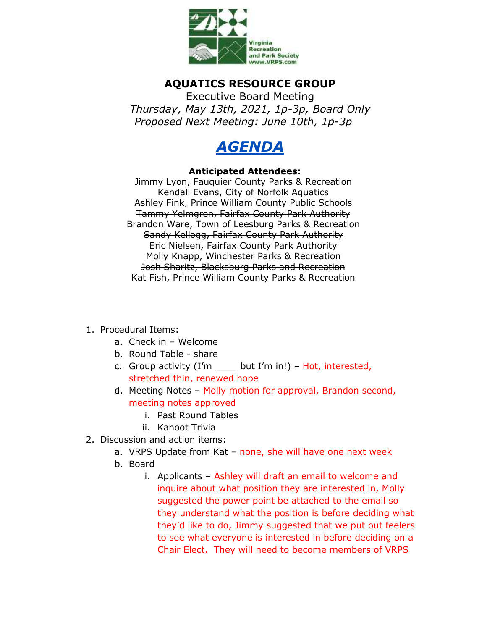

## **AQUATICS RESOURCE GROUP**

Executive Board Meeting *Thursday, May 13th, 2021, 1p-3p, Board Only Proposed Next Meeting: June 10th, 1p-3p*



## **Anticipated Attendees:**

Jimmy Lyon, Fauquier County Parks & Recreation Kendall Evans, City of Norfolk Aquatics Ashley Fink, Prince William County Public Schools Tammy Yelmgren, Fairfax County Park Authority Brandon Ware, Town of Leesburg Parks & Recreation Sandy Kellogg, Fairfax County Park Authority Eric Nielsen, Fairfax County Park Authority Molly Knapp, Winchester Parks & Recreation Josh Sharitz, Blacksburg Parks and Recreation Kat Fish, Prince William County Parks & Recreation

## 1. Procedural Items:

- a. Check in Welcome
- b. Round Table share
- c. Group activity  $(I'm \t but I'm \t in!)$  Hot, interested, stretched thin, renewed hope
- d. Meeting Notes Molly motion for approval, Brandon second, meeting notes approved
	- i. Past Round Tables
	- ii. Kahoot Trivia
- 2. Discussion and action items:
	- a. VRPS Update from Kat none, she will have one next week
	- b. Board
		- i. Applicants Ashley will draft an email to welcome and inquire about what position they are interested in, Molly suggested the power point be attached to the email so they understand what the position is before deciding what they'd like to do, Jimmy suggested that we put out feelers to see what everyone is interested in before deciding on a Chair Elect. They will need to become members of VRPS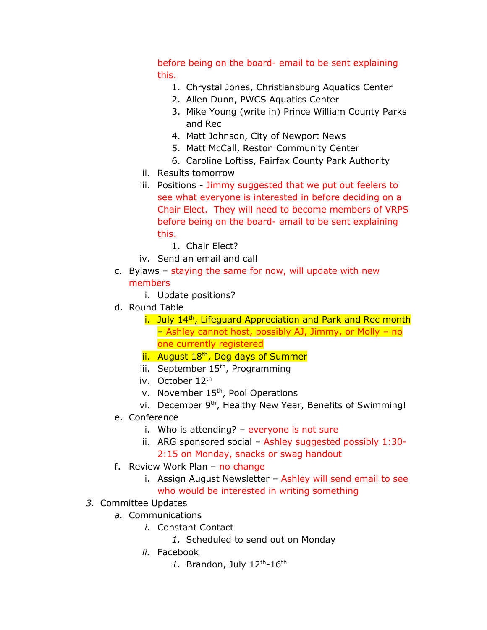before being on the board- email to be sent explaining this.

- 1. Chrystal Jones, Christiansburg Aquatics Center
- 2. Allen Dunn, PWCS Aquatics Center
- 3. Mike Young (write in) Prince William County Parks and Rec
- 4. Matt Johnson, City of Newport News
- 5. Matt McCall, Reston Community Center
- 6. Caroline Loftiss, Fairfax County Park Authority
- ii. Results tomorrow
- iii. Positions Jimmy suggested that we put out feelers to see what everyone is interested in before deciding on a Chair Elect. They will need to become members of VRPS before being on the board- email to be sent explaining this.
	- 1. Chair Elect?
- iv. Send an email and call
- c. Bylaws staying the same for now, will update with new members
	- i. Update positions?
- d. Round Table
	- $i.$  July 14<sup>th</sup>, Lifeguard Appreciation and Park and Rec month – Ashley cannot host, possibly AJ, Jimmy, or Molly – no one currently registered
	- ii. August 18<sup>th</sup>, Dog days of Summer
	- iii. September 15<sup>th</sup>, Programming
	- iv. October 12th
	- v. November 15th, Pool Operations
	- vi. December 9<sup>th</sup>, Healthy New Year, Benefits of Swimming!
- e. Conference
	- i. Who is attending? everyone is not sure
	- ii. ARG sponsored social Ashley suggested possibly 1:30- 2:15 on Monday, snacks or swag handout
- f. Review Work Plan no change
	- i. Assign August Newsletter Ashley will send email to see who would be interested in writing something
- *3.* Committee Updates
	- *a.* Communications
		- *i.* Constant Contact
			- *1.* Scheduled to send out on Monday
		- *ii.* Facebook
			- 1. Brandon, July 12<sup>th</sup>-16<sup>th</sup>